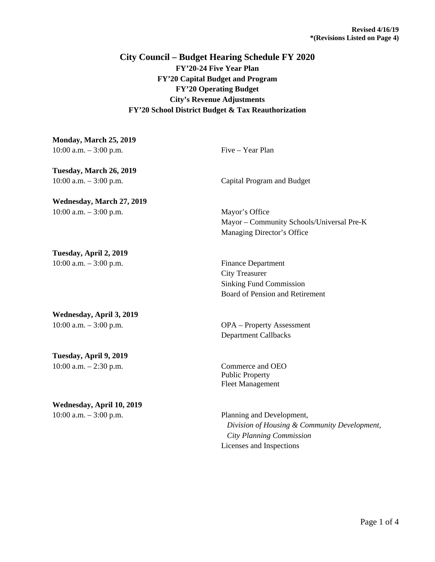## **City Council – Budget Hearing Schedule FY 2020 FY'20-24 Five Year Plan FY'20 Capital Budget and Program FY'20 Operating Budget City's Revenue Adjustments FY'20 School District Budget & Tax Reauthorization**

| Monday, March 25, 2019    |                                           |
|---------------------------|-------------------------------------------|
| 10:00 a.m. $-3:00$ p.m.   | Five – Year Plan                          |
| Tuesday, March 26, 2019   |                                           |
| 10:00 a.m. $-3:00$ p.m.   | Capital Program and Budget                |
| Wednesday, March 27, 2019 |                                           |
| 10:00 a.m. $-3:00$ p.m.   | Mayor's Office                            |
|                           | Mayor – Community Schools/Universal Pre-K |
|                           | Managing Director's Office                |
| Tuesday, April 2, 2019    |                                           |
| 10:00 a.m. $-3:00$ p.m.   | <b>Finance Department</b>                 |
|                           | <b>City Treasurer</b>                     |
|                           | <b>Sinking Fund Commission</b>            |
|                           | Board of Pension and Retirement           |
| Wednesday, April 3, 2019  |                                           |
| 10:00 a.m. $-3:00$ p.m.   | <b>OPA</b> – Property Assessment          |
|                           | <b>Department Callbacks</b>               |

**Tuesday, April 9, 2019** 10:00 a.m. – 2:30 p.m. Commerce and OEO

## **Wednesday, April 10, 2019**

Public Property Fleet Management

10:00 a.m. – 3:00 p.m. Planning and Development,  *Division of Housing & Community Development, City Planning Commission* Licenses and Inspections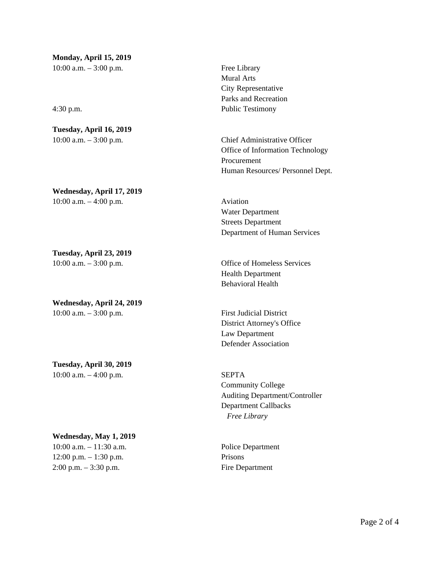**Monday, April 15, 2019** 10:00 a.m. – 3:00 p.m. Free Library

**Tuesday, April 16, 2019**

**Wednesday, April 17, 2019** 10:00 a.m. – 4:00 p.m. Aviation

**Tuesday, April 23, 2019**

**Wednesday, April 24, 2019** 10:00 a.m. – 3:00 p.m. First Judicial District

**Tuesday, April 30, 2019** 10:00 a.m. – 4:00 p.m. SEPTA

**Wednesday, May 1, 2019**

12:00 p.m. – 1:30 p.m. Prisons 2:00 p.m. – 3:30 p.m. Fire Department

Mural Arts City Representative Parks and Recreation 4:30 p.m. Public Testimony

10:00 a.m. – 3:00 p.m. Chief Administrative Officer Office of Information Technology Procurement Human Resources/ Personnel Dept.

> Water Department Streets Department Department of Human Services

10:00 a.m. – 3:00 p.m. Office of Homeless Services Health Department Behavioral Health

> District Attorney's Office Law Department Defender Association

Community College Auditing Department/Controller Department Callbacks *Free Library*

10:00 a.m. – 11:30 a.m. Police Department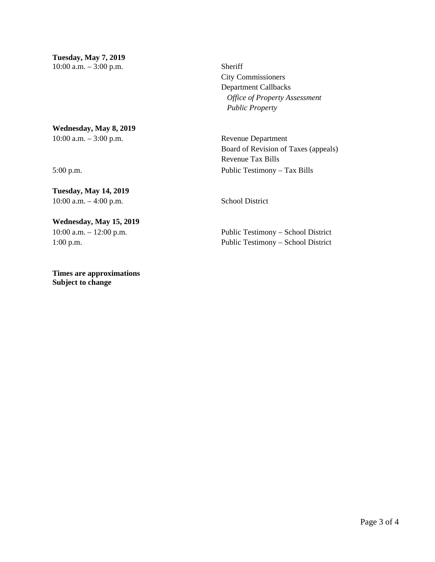City Commissioners Department Callbacks *Office of Property Assessment Public Property* 

Board of Revision of Taxes (appeals) Revenue Tax Bills 5:00 p.m. Public Testimony – Tax Bills

10:00 a.m. – 12:00 p.m. Public Testimony – School District 1:00 p.m. Public Testimony – School District

**Wednesday, May 8, 2019** 10:00 a.m. – 3:00 p.m. Revenue Department

**Tuesday, May 14, 2019** 10:00 a.m. – 4:00 p.m. School District

## **Wednesday, May 15, 2019**

**Times are approximations Subject to change**